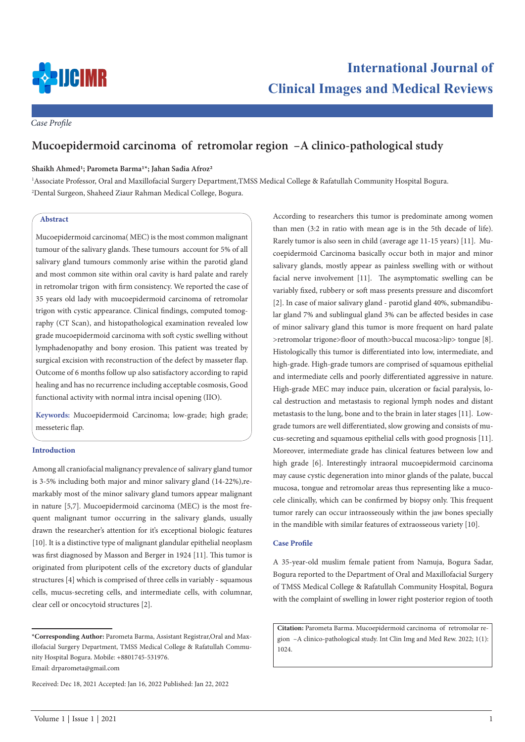

*Case Profile*

# **Mucoepidermoid carcinoma of retromolar region –A clinico-pathological study**

# **Shaikh Ahmed1; Parometa Barma1\*; Jahan Sadia Afroz2**

1 Associate Professor, Oral and Maxillofacial Surgery Department,TMSS Medical College & Rafatullah Community Hospital Bogura. 2 Dental Surgeon, Shaheed Ziaur Rahman Medical College, Bogura.

## **Abstract**

Mucoepidermoid carcinoma( MEC) is the most common malignant tumour of the salivary glands. These tumours account for 5% of all salivary gland tumours commonly arise within the parotid gland and most common site within oral cavity is hard palate and rarely in retromolar trigon with firm consistency. We reported the case of 35 years old lady with mucoepidermoid carcinoma of retromolar trigon with cystic appearance. Clinical findings, computed tomography (CT Scan), and histopathological examination revealed low grade mucoepidermoid carcinoma with soft cystic swelling without lymphadenopathy and bony erosion. This patient was treated by surgical excision with reconstruction of the defect by masseter flap. Outcome of 6 months follow up also satisfactory according to rapid healing and has no recurrence including acceptable cosmosis, Good functional activity with normal intra incisal opening (IIO).

**Keywords:** Mucoepidermoid Carcinoma; low-grade; high grade; messeteric flap.

# **Introduction**

Among all craniofacial malignancy prevalence of salivary gland tumor is 3-5% including both major and minor salivary gland (14-22%),remarkably most of the minor salivary gland tumors appear malignant in nature [5,7]. Mucoepidermoid carcinoma (MEC) is the most frequent malignant tumor occurring in the salivary glands, usually drawn the researcher's attention for it's exceptional biologic features [10]. It is a distinctive type of malignant glandular epithelial neoplasm was first diagnosed by Masson and Berger in 1924 [11]. This tumor is originated from pluripotent cells of the excretory ducts of glandular structures [4] which is comprised of three cells in variably - squamous cells, mucus-secreting cells, and intermediate cells, with columnar, clear cell or oncocytoid structures [2].

Email: drparometa@gmail.com

According to researchers this tumor is predominate among women than men (3:2 in ratio with mean age is in the 5th decade of life). Rarely tumor is also seen in child (average age 11-15 years) [11]. Mucoepidermoid Carcinoma basically occur both in major and minor salivary glands, mostly appear as painless swelling with or without facial nerve involvement [11]. The asymptomatic swelling can be variably fixed, rubbery or soft mass presents pressure and discomfort [2]. In case of maior salivary gland - parotid gland 40%, submandibular gland 7% and sublingual gland 3% can be affected besides in case of minor salivary gland this tumor is more frequent on hard palate >retromolar trigone>floor of mouth>buccal mucosa>lip> tongue [8]. Histologically this tumor is differentiated into low, intermediate, and high-grade. High-grade tumors are comprised of squamous epithelial and intermediate cells and poorly differentiated aggressive in nature. High-grade MEC may induce pain, ulceration or facial paralysis, local destruction and metastasis to regional lymph nodes and distant metastasis to the lung, bone and to the brain in later stages [11]. Lowgrade tumors are well differentiated, slow growing and consists of mucus-secreting and squamous epithelial cells with good prognosis [11]. Moreover, intermediate grade has clinical features between low and high grade [6]. Interestingly intraoral mucoepidermoid carcinoma may cause cystic degeneration into minor glands of the palate, buccal mucosa, tongue and retromolar areas thus representing like a mucocele clinically, which can be confirmed by biopsy only. This frequent tumor rarely can occur intraosseously within the jaw bones specially in the mandible with similar features of extraosseous variety [10].

# **Case Profile**

A 35-year-old muslim female patient from Namuja, Bogura Sadar, Bogura reported to the Department of Oral and Maxillofacial Surgery of TMSS Medical College & Rafatullah Community Hospital, Bogura with the complaint of swelling in lower right posterior region of tooth

**Citation:** Parometa Barma. Mucoepidermoid carcinoma of retromolar region –A clinico-pathological study. Int Clin Img and Med Rew. 2022; 1(1): 1024.

**<sup>\*</sup>Corresponding Author:** Parometa Barma, Assistant Registrar,Oral and Maxillofacial Surgery Department, TMSS Medical College & Rafatullah Community Hospital Bogura. Mobile: +8801745-531976.

Received: Dec 18, 2021 Accepted: Jan 16, 2022 Published: Jan 22, 2022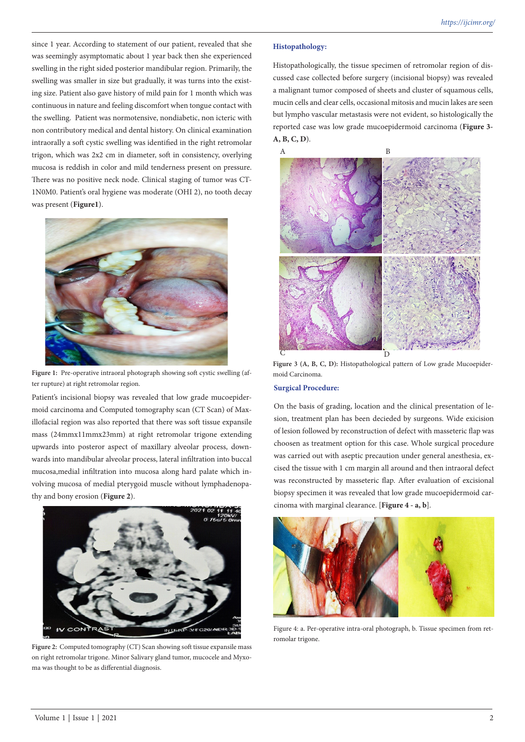since 1 year. According to statement of our patient, revealed that she was seemingly asymptomatic about 1 year back then she experienced swelling in the right sided posterior mandibular region. Primarily, the swelling was smaller in size but gradually, it was turns into the existing size. Patient also gave history of mild pain for 1 month which was continuous in nature and feeling discomfort when tongue contact with the swelling. Patient was normotensive, nondiabetic, non icteric with non contributory medical and dental history. On clinical examination intraorally a soft cystic swelling was identified in the right retromolar trigon, which was 2x2 cm in diameter, soft in consistency, overlying mucosa is reddish in color and mild tenderness present on pressure. There was no positive neck node. Clinical staging of tumor was CT-1N0M0. Patient's oral hygiene was moderate (OHI 2), no tooth decay was present (**Figure1**).



Figure 1: Pre-operative intraoral photograph showing soft cystic swelling (after rupture) at right retromolar region.

Patient's incisional biopsy was revealed that low grade mucoepidermoid carcinoma and Computed tomography scan (CT Scan) of Maxillofacial region was also reported that there was soft tissue expansile mass (24mmx11mmx23mm) at right retromolar trigone extending upwards into posteror aspect of maxillary alveolar process, downwards into mandibular alveolar process, lateral infiltration into buccal mucosa,medial infiltration into mucosa along hard palate which involving mucosa of medial pterygoid muscle without lymphadenopathy and bony erosion (**Figure 2**).



Figure 2: Computed tomography (CT) Scan showing soft tissue expansile mass on right retromolar trigone. Minor Salivary gland tumor, mucocele and Myxoma was thought to be as differential diagnosis.

#### **Histopathology:**

Histopathologically, the tissue specimen of retromolar region of discussed case collected before surgery (incisional biopsy) was revealed a malignant tumor composed of sheets and cluster of squamous cells, mucin cells and clear cells, occasional mitosis and mucin lakes are seen but lympho vascular metastasis were not evident, so histologically the reported case was low grade mucoepidermoid carcinoma (**Figure 3- A, B, C, D**).

A B C D

**Figure 3 (A, B, C, D):** Histopathological pattern of Low grade Mucoepidermoid Carcinoma.

#### **Surgical Procedure:**

On the basis of grading, location and the clinical presentation of lesion, treatment plan has been decieded by surgeons. Wide exicision of lesion followed by reconstruction of defect with masseteric flap was choosen as treatment option for this case. Whole surgical procedure was carried out with aseptic precaution under general anesthesia, excised the tissue with 1 cm margin all around and then intraoral defect was reconstructed by masseteric flap. After evaluation of excisional biopsy specimen it was revealed that low grade mucoepidermoid carcinoma with marginal clearance. [**Figure 4 - a, b**].



Figure 4: a. Per-operative intra-oral photograph, b. Tissue specimen from retromolar trigone.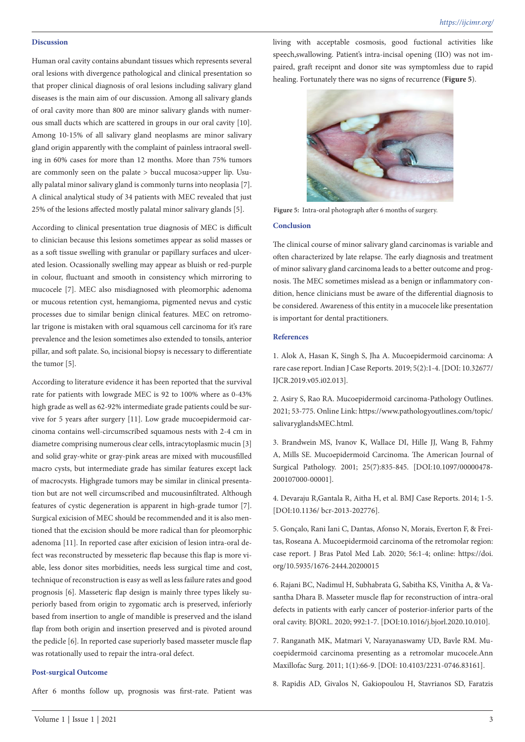## **Discussion**

Human oral cavity contains abundant tissues which represents several oral lesions with divergence pathological and clinical presentation so that proper clinical diagnosis of oral lesions including salivary gland diseases is the main aim of our discussion. Among all salivary glands of oral cavity more than 800 are minor salivary glands with numerous small ducts which are scattered in groups in our oral cavity [10]. Among 10-15% of all salivary gland neoplasms are minor salivary gland origin apparently with the complaint of painless intraoral swelling in 60% cases for more than 12 months. More than 75% tumors are commonly seen on the palate > buccal mucosa>upper lip. Usually palatal minor salivary gland is commonly turns into neoplasia [7]. A clinical analytical study of 34 patients with MEC revealed that just 25% of the lesions affected mostly palatal minor salivary glands [5].

According to clinical presentation true diagnosis of MEC is difficult to clinician because this lesions sometimes appear as solid masses or as a soft tissue swelling with granular or papillary surfaces and ulcerated lesion. Ocassionally swelling may appear as bluish or red-purple in colour, fluctuant and smooth in consistency which mirroring to mucocele [7]. MEC also misdiagnosed with pleomorphic adenoma or mucous retention cyst, hemangioma, pigmented nevus and cystic processes due to similar benign clinical features. MEC on retromolar trigone is mistaken with oral squamous cell carcinoma for it's rare prevalence and the lesion sometimes also extended to tonsils, anterior pillar, and soft palate. So, incisional biopsy is necessary to differentiate the tumor [5].

According to literature evidence it has been reported that the survival rate for patients with lowgrade MEC is 92 to 100% where as 0-43% high grade as well as 62-92% intermediate grade patients could be survive for 5 years after surgery [11]. Low grade mucoepidermoid carcinoma contains well-circumscribed squamous nests with 2-4 cm in diametre comprising numerous clear cells, intracytoplasmic mucin [3] and solid gray-white or gray-pink areas are mixed with mucousfilled macro cysts, but intermediate grade has similar features except lack of macrocysts. Highgrade tumors may be similar in clinical presentation but are not well circumscribed and mucousinfiltrated. Although features of cystic degeneration is apparent in high-grade tumor [7]. Surgical exicision of MEC should be recommended and it is also mentioned that the excision should be more radical than for pleomorphic adenoma [11]. In reported case after exicision of lesion intra-oral defect was reconstructed by messeteric flap because this flap is more viable, less donor sites morbidities, needs less surgical time and cost, technique of reconstruction is easy as well as less failure rates and good prognosis [6]. Masseteric flap design is mainly three types likely superiorly based from origin to zygomatic arch is preserved, inferiorly based from insertion to angle of mandible is preserved and the island flap from both origin and insertion preserved and is pivoted around the pedicle [6]. In reported case superiorly based masseter muscle flap was rotationally used to repair the intra-oral defect.

## **Post-surgical Outcome**

After 6 months follow up, prognosis was first-rate. Patient was

living with acceptable cosmosis, good fuctional activities like speech,swallowing. Patient's intra-incisal opening (IIO) was not impaired, graft receipnt and donor site was symptomless due to rapid healing. Fortunately there was no signs of recurrence (**Figure 5**).



**Figure 5:** Intra-oral photograph after 6 months of surgery.

## **Conclusion**

The clinical course of minor salivary gland carcinomas is variable and often characterized by late relapse. The early diagnosis and treatment of minor salivary gland carcinoma leads to a better outcome and prognosis. The MEC sometimes mislead as a benign or inflammatory condition, hence clinicians must be aware of the differential diagnosis to be considered. Awareness of this entity in a mucocele like presentation is important for dental practitioners.

## **References**

1. Alok A, Hasan K, Singh S, Jha A. Mucoepidermoid carcinoma: A rare case report. Indian J Case Reports. 2019; 5(2):1-4. [DOI: 10.32677/ IJCR.2019.v05.i02.013].

2. Asiry S, Rao RA. Mucoepidermoid carcinoma-Pathology Outlines. 2021; 53-775. Online Link: https://www.pathologyoutlines.com/topic/ salivaryglandsMEC.html.

3. Brandwein MS, Ivanov K, Wallace DI, Hille JJ, Wang B, Fahmy A, Mills SE. Mucoepidermoid Carcinoma. The American Journal of Surgical Pathology. 2001; 25(7):835-845. [DOI:10.1097/00000478- 200107000-00001].

4. Devaraju R,Gantala R, Aitha H, et al. BMJ Case Reports. 2014; 1-5. [DOI:10.1136/ bcr-2013-202776].

5. Gonçalo, Rani Iani C, Dantas, Afonso N, Morais, Everton F, & Freitas, Roseana A. Mucoepidermoid carcinoma of the retromolar region: case report. J Bras Patol Med Lab. 2020; 56:1-4; online: https://doi. org/10.5935/1676-2444.20200015

6. Rajani BC, Nadimul H, Subhabrata G, Sabitha KS, Vinitha A, & Vasantha Dhara B. Masseter muscle flap for reconstruction of intra-oral defects in patients with early cancer of posterior-inferior parts of the oral cavity. BJORL. 2020; 992:1-7. [DOI:10.1016/j.bjorl.2020.10.010].

7. Ranganath MK, Matmari V, Narayanaswamy UD, Bavle RM. Mucoepidermoid carcinoma presenting as a retromolar mucocele.Ann Maxillofac Surg. 2011; 1(1):66-9. [DOI: 10.4103/2231-0746.83161].

8. Rapidis AD, Givalos N, Gakiopoulou H, Stavrianos SD, Faratzis